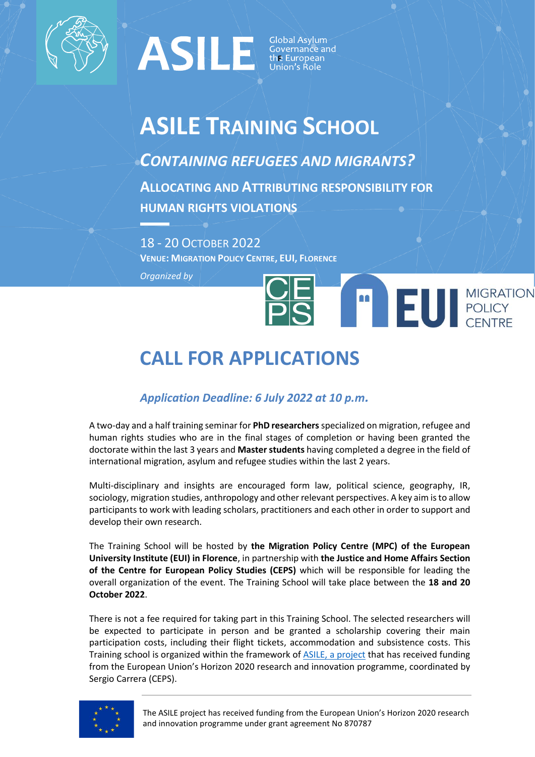

## **FRANCE SERVIS SUPERINTENDENT CONTRACT SUPERINT SUPERINT SUPERINT SUPERINT SUPERINT SUPERINT SUPERINT SUPERINT SUPERINT SUPERINT SUPERINT SUPERINT SUPERINT SUPERINT SUPERINT SUPERINT SUPERINT SUPERINT SUPERINT SUPERINT SUP**

## **ASILE TRAINING SCHOOL**

*CONTAINING REFUGEES AND MIGRANTS?* **ALLOCATING AND ATTRIBUTING RESPONSIBILITY FOR HUMAN RIGHTS VIOLATIONS**

18 - 20 OCTOBER 2022 **VENUE: MIGRATION POLICY CENTRE, EUI, FLORENCE**

*Organized by* 

# EUI MIGRATION

### **CALL FOR APPLICATIONS**

#### *Application Deadline: 6 July 2022 at 10 p.m.*

A two-day and a half training seminar for **PhD researchers**specialized on migration, refugee and human rights studies who are in the final stages of completion or having been granted the doctorate within the last 3 years and **Master students** having completed a degree in the field of international migration, asylum and refugee studies within the last 2 years.

Multi-disciplinary and insights are encouraged form law, political science, geography, IR, sociology, migration studies, anthropology and other relevant perspectives. A key aim is to allow participants to work with leading scholars, practitioners and each other in order to support and develop their own research.

The Training School will be hosted by **the Migration Policy Centre (MPC) of the European University Institute (EUI) in Florence**, in partnership with **the Justice and Home Affairs Section of the Centre for European Policy Studies (CEPS)** which will be responsible for leading the overall organization of the event. The Training School will take place between the **18 and 20 October 2022**.

There is not a fee required for taking part in this Training School. The selected researchers will be expected to participate in person and be granted a scholarship covering their main participation costs, including their flight tickets, accommodation and subsistence costs. This Training school is organized within the framework of [ASILE, a project](https://www.asileproject.eu/) that has received funding from the European Union's Horizon 2020 research and innovation programme, coordinated by Sergio Carrera (CEPS).

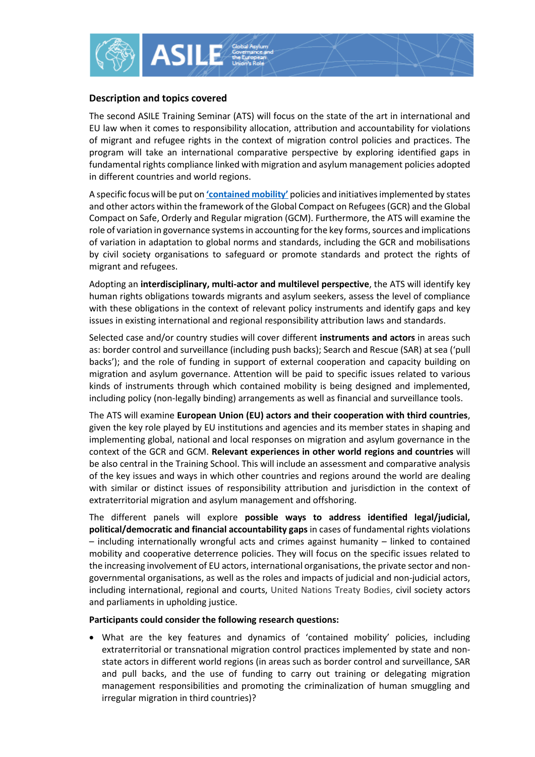

#### **Description and topics covered**

The second ASILE Training Seminar (ATS) will focus on the state of the art in international and EU law when it comes to responsibility allocation, attribution and accountability for violations of migrant and refugee rights in the context of migration control policies and practices. The program will take an international comparative perspective by exploring identified gaps in fundamental rights compliance linked with migration and asylum management policies adopted in different countries and world regions.

A specific focus will be put on **['contained mobility'](https://www.ceps.eu/wp-content/uploads/2019/04/LSE-04_ReSOMA_ImplementingGCR.pdf)** policies and initiatives implemented by states and other actors within the framework of the Global Compact on Refugees (GCR) and the Global Compact on Safe, Orderly and Regular migration (GCM). Furthermore, the ATS will examine the role of variation in governance systems in accounting for the key forms, sources and implications of variation in adaptation to global norms and standards, including the GCR and mobilisations by civil society organisations to safeguard or promote standards and protect the rights of migrant and refugees.

Adopting an **interdisciplinary, multi-actor and multilevel perspective**, the ATS will identify key human rights obligations towards migrants and asylum seekers, assess the level of compliance with these obligations in the context of relevant policy instruments and identify gaps and key issues in existing international and regional responsibility attribution laws and standards.

Selected case and/or country studies will cover different **instruments and actors** in areas such as: border control and surveillance (including push backs); Search and Rescue (SAR) at sea ('pull backs'); and the role of funding in support of external cooperation and capacity building on migration and asylum governance. Attention will be paid to specific issues related to various kinds of instruments through which contained mobility is being designed and implemented, including policy (non-legally binding) arrangements as well as financial and surveillance tools.

The ATS will examine **European Union (EU) actors and their cooperation with third countries**, given the key role played by EU institutions and agencies and its member states in shaping and implementing global, national and local responses on migration and asylum governance in the context of the GCR and GCM. **Relevant experiences in other world regions and countries** will be also central in the Training School. This will include an assessment and comparative analysis of the key issues and ways in which other countries and regions around the world are dealing with similar or distinct issues of responsibility attribution and jurisdiction in the context of extraterritorial migration and asylum management and offshoring.

The different panels will explore **possible ways to address identified legal/judicial, political/democratic and financial accountability gaps** in cases of fundamental rights violations – including internationally wrongful acts and crimes against humanity – linked to contained mobility and cooperative deterrence policies. They will focus on the specific issues related to the increasing involvement of EU actors, international organisations, the private sector and nongovernmental organisations, as well as the roles and impacts of judicial and non-judicial actors, including international, regional and courts, United Nations Treaty Bodies, civil society actors and parliaments in upholding justice.

#### **Participants could consider the following research questions:**

• What are the key features and dynamics of 'contained mobility' policies, including extraterritorial or transnational migration control practices implemented by state and nonstate actors in different world regions (in areas such as border control and surveillance, SAR and pull backs, and the use of funding to carry out training or delegating migration management responsibilities and promoting the criminalization of human smuggling and irregular migration in third countries)?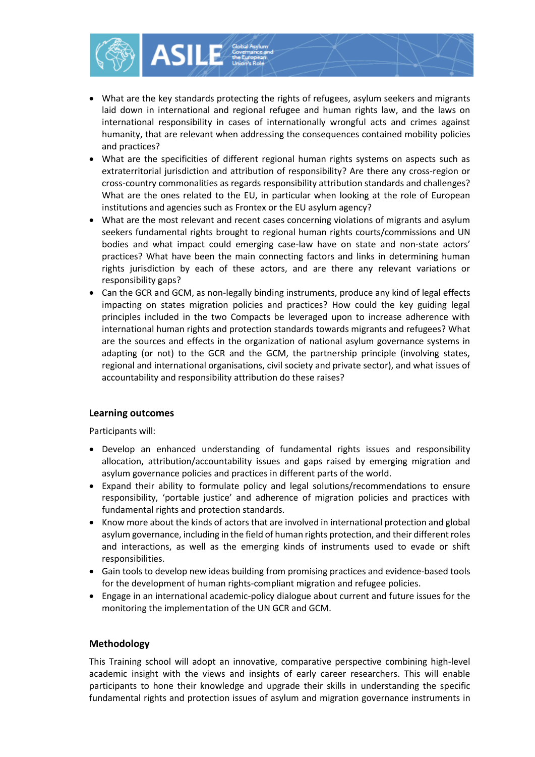

- What are the key standards protecting the rights of refugees, asylum seekers and migrants laid down in international and regional refugee and human rights law, and the laws on international responsibility in cases of internationally wrongful acts and crimes against humanity, that are relevant when addressing the consequences contained mobility policies and practices?
- What are the specificities of different regional human rights systems on aspects such as extraterritorial jurisdiction and attribution of responsibility? Are there any cross-region or cross-country commonalities as regards responsibility attribution standards and challenges? What are the ones related to the EU, in particular when looking at the role of European institutions and agencies such as Frontex or the EU asylum agency?
- What are the most relevant and recent cases concerning violations of migrants and asylum seekers fundamental rights brought to regional human rights courts/commissions and UN bodies and what impact could emerging case-law have on state and non-state actors' practices? What have been the main connecting factors and links in determining human rights jurisdiction by each of these actors, and are there any relevant variations or responsibility gaps?
- Can the GCR and GCM, as non-legally binding instruments, produce any kind of legal effects impacting on states migration policies and practices? How could the key guiding legal principles included in the two Compacts be leveraged upon to increase adherence with international human rights and protection standards towards migrants and refugees? What are the sources and effects in the organization of national asylum governance systems in adapting (or not) to the GCR and the GCM, the partnership principle (involving states, regional and international organisations, civil society and private sector), and what issues of accountability and responsibility attribution do these raises?

#### **Learning outcomes**

Participants will:

- Develop an enhanced understanding of fundamental rights issues and responsibility allocation, attribution/accountability issues and gaps raised by emerging migration and asylum governance policies and practices in different parts of the world.
- Expand their ability to formulate policy and legal solutions/recommendations to ensure responsibility, 'portable justice' and adherence of migration policies and practices with fundamental rights and protection standards.
- Know more about the kinds of actors that are involved in international protection and global asylum governance, including in the field of human rights protection, and their different roles and interactions, as well as the emerging kinds of instruments used to evade or shift responsibilities.
- Gain tools to develop new ideas building from promising practices and evidence-based tools for the development of human rights-compliant migration and refugee policies.
- Engage in an international academic-policy dialogue about current and future issues for the monitoring the implementation of the UN GCR and GCM.

#### **Methodology**

This Training school will adopt an innovative, comparative perspective combining high-level academic insight with the views and insights of early career researchers. This will enable participants to hone their knowledge and upgrade their skills in understanding the specific fundamental rights and protection issues of asylum and migration governance instruments in